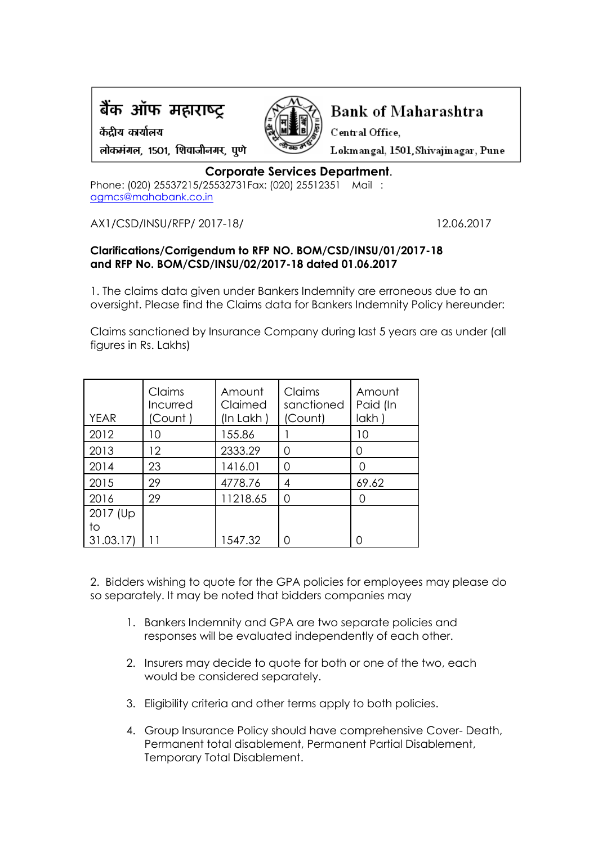

केंदीय कार्यालय



**Bank of Maharashtra** 

Central Office.

Lokmangal, 1501, Shivajinagar, Pune

लोकमंगल, 1501, शिवाजीनगर, पुणे

## **Corporate Services Department**.

Phone: (020) 25537215/25532731Fax: (020) 25512351 Mail : [agmcs@mahabank.co.in](mailto:agmcs@mahabank.co.in)

AX1/CSD/INSU/RFP/ 2017-18/ 12.06.2017

## **Clarifications/Corrigendum to RFP NO. BOM/CSD/INSU/01/2017-18 and RFP No. BOM/CSD/INSU/02/2017-18 dated 01.06.2017**

1. The claims data given under Bankers Indemnity are erroneous due to an oversight. Please find the Claims data for Bankers Indemnity Policy hereunder:

Claims sanctioned by Insurance Company during last 5 years are as under (all figures in Rs. Lakhs)

| <b>YEAR</b> | Claims<br>Incurred<br>'Count ) | Amount<br>Claimed<br>(In Lakh) | Claims<br>sanctioned<br>(Count) | Amount<br>Paid (In<br>lakh |
|-------------|--------------------------------|--------------------------------|---------------------------------|----------------------------|
| 2012        | 10                             | 155.86                         |                                 | 10                         |
| 2013        | 12                             | 2333.29                        | 0                               | Ω                          |
| 2014        | 23                             | 1416.01                        | 0                               | ∩                          |
| 2015        | 29                             | 4778.76                        | 4                               | 69.62                      |
| 2016        | 29                             | 11218.65                       | 0                               |                            |
| 2017 (Up)   |                                |                                |                                 |                            |
| to          |                                |                                |                                 |                            |
| 31.03.17    |                                | 1547.32                        |                                 |                            |

2. Bidders wishing to quote for the GPA policies for employees may please do so separately. It may be noted that bidders companies may

- 1. Bankers Indemnity and GPA are two separate policies and responses will be evaluated independently of each other.
- 2. Insurers may decide to quote for both or one of the two, each would be considered separately.
- 3. Eligibility criteria and other terms apply to both policies.
- 4. Group Insurance Policy should have comprehensive Cover- Death, Permanent total disablement, Permanent Partial Disablement, Temporary Total Disablement.